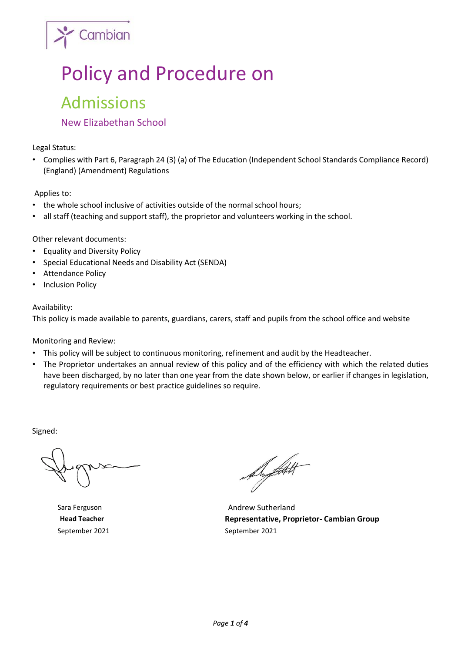

# Policy and Procedure on Admissions

# New Elizabethan School

Legal Status:

• Complies with Part 6, Paragraph 24 (3) (a) of The Education (Independent School Standards Compliance Record) (England) (Amendment) Regulations

Applies to:

- the whole school inclusive of activities outside of the normal school hours;
- all staff (teaching and support staff), the proprietor and volunteers working in the school.

Other relevant documents:

- Equality and Diversity Policy
- Special Educational Needs and Disability Act (SENDA)
- Attendance Policy
- Inclusion Policy

#### Availability:

This policy is made available to parents, guardians, carers, staff and pupils from the school office and website

Monitoring and Review:

- This policy will be subject to continuous monitoring, refinement and audit by the Headteacher.
- The Proprietor undertakes an annual review of this policy and of the efficiency with which the related duties have been discharged, by no later than one year from the date shown below, or earlier if changes in legislation, regulatory requirements or best practice guidelines so require.

Signed:

September 2021 September 2021

Auftakt

Sara Ferguson **Andrew Sutherland Head Teacher Representative, Proprietor- Cambian Group**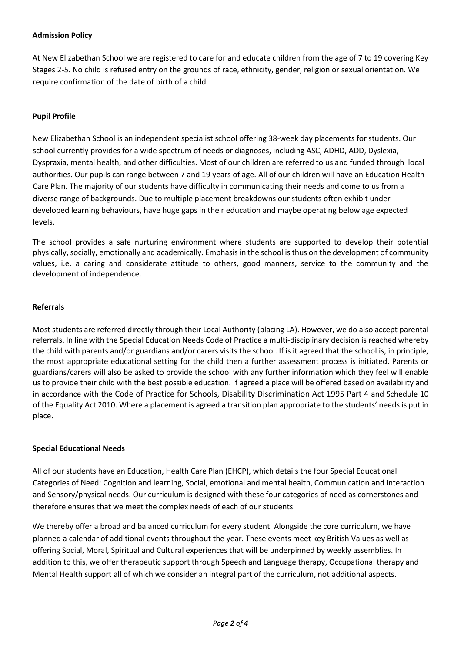## **Admission Policy**

At New Elizabethan School we are registered to care for and educate children from the age of 7 to 19 covering Key Stages 2-5. No child is refused entry on the grounds of race, ethnicity, gender, religion or sexual orientation. We require confirmation of the date of birth of a child.

#### **Pupil Profile**

New Elizabethan School is an independent specialist school offering 38-week day placements for students. Our school currently provides for a wide spectrum of needs or diagnoses, including ASC, ADHD, ADD, Dyslexia, Dyspraxia, mental health, and other difficulties. Most of our children are referred to us and funded through local authorities. Our pupils can range between 7 and 19 years of age. All of our children will have an Education Health Care Plan. The majority of our students have difficulty in communicating their needs and come to us from a diverse range of backgrounds. Due to multiple placement breakdowns our students often exhibit underdeveloped learning behaviours, have huge gaps in their education and maybe operating below age expected levels.

The school provides a safe nurturing environment where students are supported to develop their potential physically, socially, emotionally and academically. Emphasis in the school is thus on the development of community values, i.e. a caring and considerate attitude to others, good manners, service to the community and the development of independence.

### **Referrals**

Most students are referred directly through their Local Authority (placing LA). However, we do also accept parental referrals. In line with the Special Education Needs Code of Practice a multi-disciplinary decision is reached whereby the child with parents and/or guardians and/or carers visits the school. If is it agreed that the school is, in principle, the most appropriate educational setting for the child then a further assessment process is initiated. Parents or guardians/carers will also be asked to provide the school with any further information which they feel will enable us to provide their child with the best possible education. If agreed a place will be offered based on availability and in accordance with the Code of Practice for Schools, Disability Discrimination Act 1995 Part 4 and Schedule 10 of the Equality Act 2010. Where a placement is agreed a transition plan appropriate to the students' needs is put in place.

#### **Special Educational Needs**

All of our students have an Education, Health Care Plan (EHCP), which details the four Special Educational Categories of Need: Cognition and learning, Social, emotional and mental health, Communication and interaction and Sensory/physical needs. Our curriculum is designed with these four categories of need as cornerstones and therefore ensures that we meet the complex needs of each of our students.

We thereby offer a broad and balanced curriculum for every student. Alongside the core curriculum, we have planned a calendar of additional events throughout the year. These events meet key British Values as well as offering Social, Moral, Spiritual and Cultural experiences that will be underpinned by weekly assemblies. In addition to this, we offer therapeutic support through Speech and Language therapy, Occupational therapy and Mental Health support all of which we consider an integral part of the curriculum, not additional aspects.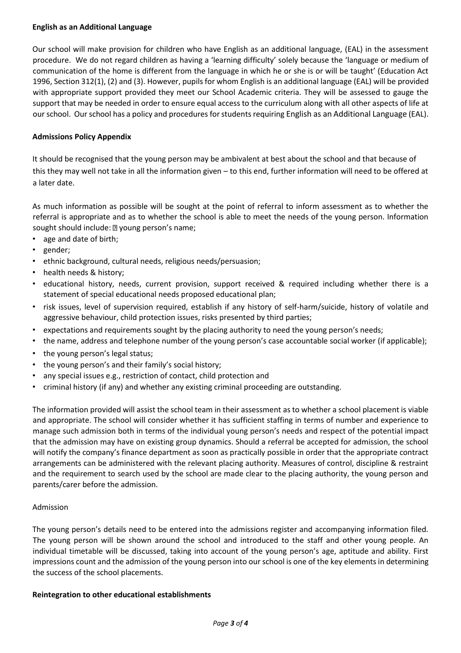#### **English as an Additional Language**

Our school will make provision for children who have English as an additional language, (EAL) in the assessment procedure. We do not regard children as having a 'learning difficulty' solely because the 'language or medium of communication of the home is different from the language in which he or she is or will be taught' (Education Act 1996, Section 312(1), (2) and (3). However, pupils for whom English is an additional language (EAL) will be provided with appropriate support provided they meet our School Academic criteria. They will be assessed to gauge the support that may be needed in order to ensure equal access to the curriculum along with all other aspects of life at our school. Our school has a policy and procedures for students requiring English as an Additional Language (EAL).

# **Admissions Policy Appendix**

It should be recognised that the young person may be ambivalent at best about the school and that because of this they may well not take in all the information given – to this end, further information will need to be offered at a later date.

As much information as possible will be sought at the point of referral to inform assessment as to whether the referral is appropriate and as to whether the school is able to meet the needs of the young person. Information sought should include: 2 young person's name;

- age and date of birth;
- gender;
- ethnic background, cultural needs, religious needs/persuasion;
- health needs & history;
- educational history, needs, current provision, support received & required including whether there is a statement of special educational needs proposed educational plan;
- risk issues, level of supervision required, establish if any history of self-harm/suicide, history of volatile and aggressive behaviour, child protection issues, risks presented by third parties;
- expectations and requirements sought by the placing authority to need the young person's needs;
- the name, address and telephone number of the young person's case accountable social worker (if applicable);
- the young person's legal status;
- the young person's and their family's social history;
- any special issues e.g., restriction of contact, child protection and
- criminal history (if any) and whether any existing criminal proceeding are outstanding.

The information provided will assist the school team in their assessment as to whether a school placement is viable and appropriate. The school will consider whether it has sufficient staffing in terms of number and experience to manage such admission both in terms of the individual young person's needs and respect of the potential impact that the admission may have on existing group dynamics. Should a referral be accepted for admission, the school will notify the company's finance department as soon as practically possible in order that the appropriate contract arrangements can be administered with the relevant placing authority. Measures of control, discipline & restraint and the requirement to search used by the school are made clear to the placing authority, the young person and parents/carer before the admission.

# Admission

The young person's details need to be entered into the admissions register and accompanying information filed. The young person will be shown around the school and introduced to the staff and other young people. An individual timetable will be discussed, taking into account of the young person's age, aptitude and ability. First impressions count and the admission of the young person into our school is one of the key elements in determining the success of the school placements.

#### **Reintegration to other educational establishments**